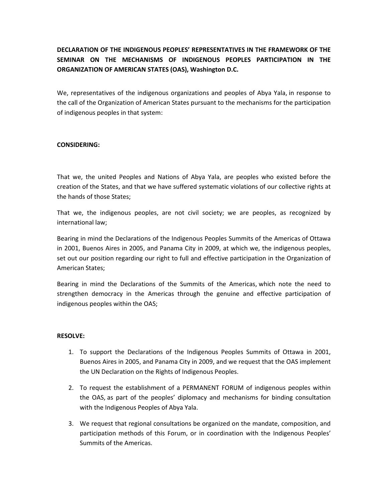## DECLARATION OF THE INDIGENOUS PEOPLES' REPRESENTATIVES IN THE FRAMEWORK OF THE SEMINAR ON THE MECHANISMS OF INDIGENOUS PEOPLES PARTICIPATION IN THE ORGANIZATION OF AMERICAN STATES (OAS), Washington D.C.

We, representatives of the indigenous organizations and peoples of Abya Yala, in response to the call of the Organization of American States pursuant to the mechanisms for the participation of indigenous peoples in that system:

## CONSIDERING:

That we, the united Peoples and Nations of Abya Yala, are peoples who existed before the creation of the States, and that we have suffered systematic violations of our collective rights at the hands of those States;

That we, the indigenous peoples, are not civil society; we are peoples, as recognized by international law;

Bearing in mind the Declarations of the Indigenous Peoples Summits of the Americas of Ottawa in 2001, Buenos Aires in 2005, and Panama City in 2009, at which we, the indigenous peoples, set out our position regarding our right to full and effective participation in the Organization of American States;

Bearing in mind the Declarations of the Summits of the Americas, which note the need to strengthen democracy in the Americas through the genuine and effective participation of indigenous peoples within the OAS;

## RESOLVE:

- 1. To support the Declarations of the Indigenous Peoples Summits of Ottawa in 2001, Buenos Aires in 2005, and Panama City in 2009, and we request that the OAS implement the UN Declaration on the Rights of Indigenous Peoples.
- 2. To request the establishment of a PERMANENT FORUM of indigenous peoples within the OAS, as part of the peoples' diplomacy and mechanisms for binding consultation with the Indigenous Peoples of Abya Yala.
- 3. We request that regional consultations be organized on the mandate, composition, and participation methods of this Forum, or in coordination with the Indigenous Peoples' Summits of the Americas.